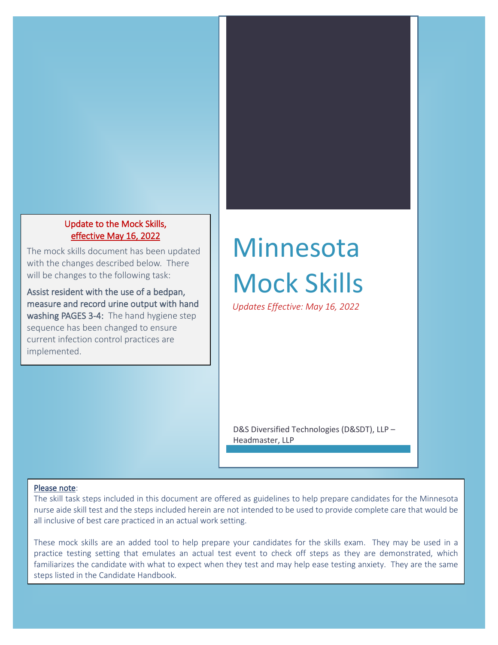#### Update to the Mock Skills, effective May 16, 2022

The mock skills document has been updated with the changes described below. There will be changes to the following task:

Assist resident with the use of a bedpan, measure and record urine output with hand washing PAGES 3-4: The hand hygiene step sequence has been changed to ensure current infection control practices are implemented.

# Minnesota Mock Skills

*Updates Effective: May 16, 2022*

D&S Diversified Technologies (D&SDT), LLP – Headmaster, LLP

#### Please note:

The skill task steps included in this document are offered as guidelines to help prepare candidates for the Minnesota nurse aide skill test and the steps included herein are not intended to be used to provide complete care that would be all inclusive of best care practiced in an actual work setting.

These mock skills are an added tool to help prepare your candidates for the skills exam. They may be used in a practice testing setting that emulates an actual test event to check off steps as they are demonstrated, which familiarizes the candidate with what to expect when they test and may help ease testing anxiety. They are the same steps listed in the Candidate Handbook.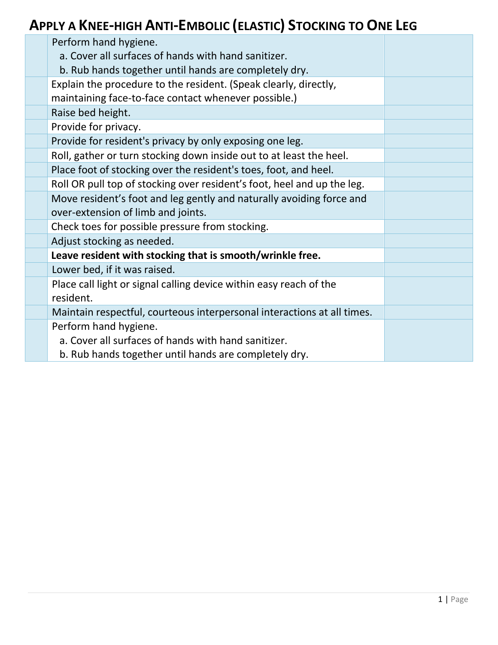## **APPLY A KNEE-HIGH ANTI-EMBOLIC (ELASTIC) STOCKING TO ONE LEG**

| Perform hand hygiene.                                                   |  |
|-------------------------------------------------------------------------|--|
| a. Cover all surfaces of hands with hand sanitizer.                     |  |
| b. Rub hands together until hands are completely dry.                   |  |
| Explain the procedure to the resident. (Speak clearly, directly,        |  |
| maintaining face-to-face contact whenever possible.)                    |  |
| Raise bed height.                                                       |  |
| Provide for privacy.                                                    |  |
| Provide for resident's privacy by only exposing one leg.                |  |
| Roll, gather or turn stocking down inside out to at least the heel.     |  |
| Place foot of stocking over the resident's toes, foot, and heel.        |  |
| Roll OR pull top of stocking over resident's foot, heel and up the leg. |  |
| Move resident's foot and leg gently and naturally avoiding force and    |  |
| over-extension of limb and joints.                                      |  |
| Check toes for possible pressure from stocking.                         |  |
| Adjust stocking as needed.                                              |  |
| Leave resident with stocking that is smooth/wrinkle free.               |  |
| Lower bed, if it was raised.                                            |  |
| Place call light or signal calling device within easy reach of the      |  |
| resident.                                                               |  |
| Maintain respectful, courteous interpersonal interactions at all times. |  |
| Perform hand hygiene.                                                   |  |
| a. Cover all surfaces of hands with hand sanitizer.                     |  |
| b. Rub hands together until hands are completely dry.                   |  |
|                                                                         |  |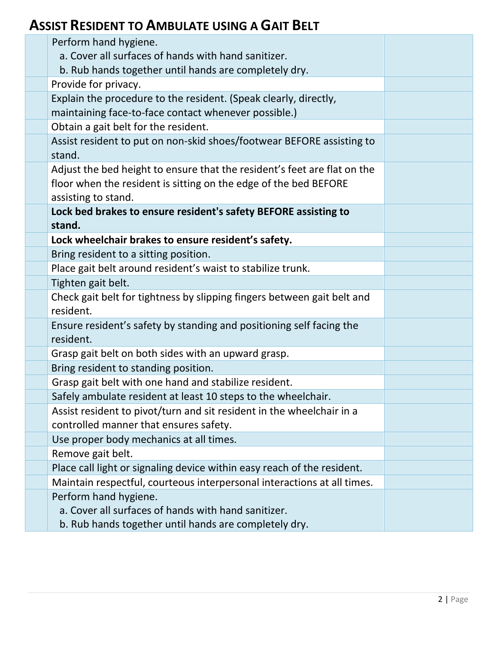#### **ASSIST RESIDENT TO AMBULATE USING A GAIT BELT**

| Perform hand hygiene.                                                                |  |
|--------------------------------------------------------------------------------------|--|
| a. Cover all surfaces of hands with hand sanitizer.                                  |  |
| b. Rub hands together until hands are completely dry.                                |  |
| Provide for privacy.                                                                 |  |
| Explain the procedure to the resident. (Speak clearly, directly,                     |  |
| maintaining face-to-face contact whenever possible.)                                 |  |
| Obtain a gait belt for the resident.                                                 |  |
| Assist resident to put on non-skid shoes/footwear BEFORE assisting to<br>stand.      |  |
| Adjust the bed height to ensure that the resident's feet are flat on the             |  |
| floor when the resident is sitting on the edge of the bed BEFORE                     |  |
| assisting to stand.                                                                  |  |
| Lock bed brakes to ensure resident's safety BEFORE assisting to                      |  |
| stand.                                                                               |  |
| Lock wheelchair brakes to ensure resident's safety.                                  |  |
| Bring resident to a sitting position.                                                |  |
| Place gait belt around resident's waist to stabilize trunk.                          |  |
| Tighten gait belt.                                                                   |  |
| Check gait belt for tightness by slipping fingers between gait belt and<br>resident. |  |
| Ensure resident's safety by standing and positioning self facing the<br>resident.    |  |
| Grasp gait belt on both sides with an upward grasp.                                  |  |
| Bring resident to standing position.                                                 |  |
| Grasp gait belt with one hand and stabilize resident.                                |  |
| Safely ambulate resident at least 10 steps to the wheelchair.                        |  |
| Assist resident to pivot/turn and sit resident in the wheelchair in a                |  |
| controlled manner that ensures safety.                                               |  |
| Use proper body mechanics at all times.                                              |  |
| Remove gait belt.                                                                    |  |
| Place call light or signaling device within easy reach of the resident.              |  |
| Maintain respectful, courteous interpersonal interactions at all times.              |  |
| Perform hand hygiene.                                                                |  |
| a. Cover all surfaces of hands with hand sanitizer.                                  |  |
| b. Rub hands together until hands are completely dry.                                |  |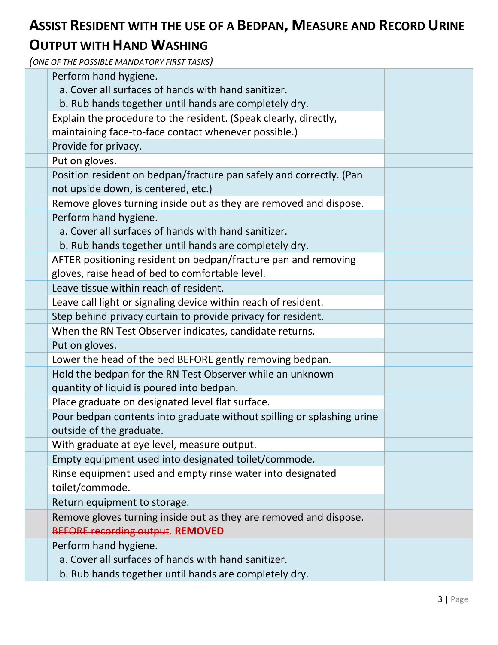## **ASSIST RESIDENT WITH THE USE OF A BEDPAN, MEASURE AND RECORD URINE**

#### **OUTPUT WITH HAND WASHING**

| Perform hand hygiene.                                                                                        |  |
|--------------------------------------------------------------------------------------------------------------|--|
| a. Cover all surfaces of hands with hand sanitizer.                                                          |  |
| b. Rub hands together until hands are completely dry.                                                        |  |
| Explain the procedure to the resident. (Speak clearly, directly,                                             |  |
| maintaining face-to-face contact whenever possible.)                                                         |  |
| Provide for privacy.                                                                                         |  |
| Put on gloves.                                                                                               |  |
| Position resident on bedpan/fracture pan safely and correctly. (Pan                                          |  |
| not upside down, is centered, etc.)                                                                          |  |
| Remove gloves turning inside out as they are removed and dispose.                                            |  |
| Perform hand hygiene.                                                                                        |  |
| a. Cover all surfaces of hands with hand sanitizer.                                                          |  |
| b. Rub hands together until hands are completely dry.                                                        |  |
| AFTER positioning resident on bedpan/fracture pan and removing                                               |  |
| gloves, raise head of bed to comfortable level.                                                              |  |
| Leave tissue within reach of resident.                                                                       |  |
| Leave call light or signaling device within reach of resident.                                               |  |
| Step behind privacy curtain to provide privacy for resident.                                                 |  |
| When the RN Test Observer indicates, candidate returns.                                                      |  |
| Put on gloves.                                                                                               |  |
| Lower the head of the bed BEFORE gently removing bedpan.                                                     |  |
| Hold the bedpan for the RN Test Observer while an unknown                                                    |  |
| quantity of liquid is poured into bedpan.                                                                    |  |
| Place graduate on designated level flat surface.                                                             |  |
| Pour bedpan contents into graduate without spilling or splashing urine<br>outside of the graduate            |  |
| With graduate at eye level, measure output.                                                                  |  |
| Empty equipment used into designated toilet/commode.                                                         |  |
| Rinse equipment used and empty rinse water into designated                                                   |  |
| toilet/commode.                                                                                              |  |
| Return equipment to storage.                                                                                 |  |
| Remove gloves turning inside out as they are removed and dispose.<br><b>BEFORE recording output. REMOVED</b> |  |
| Perform hand hygiene.                                                                                        |  |
| a. Cover all surfaces of hands with hand sanitizer.                                                          |  |
| b. Rub hands together until hands are completely dry.                                                        |  |
|                                                                                                              |  |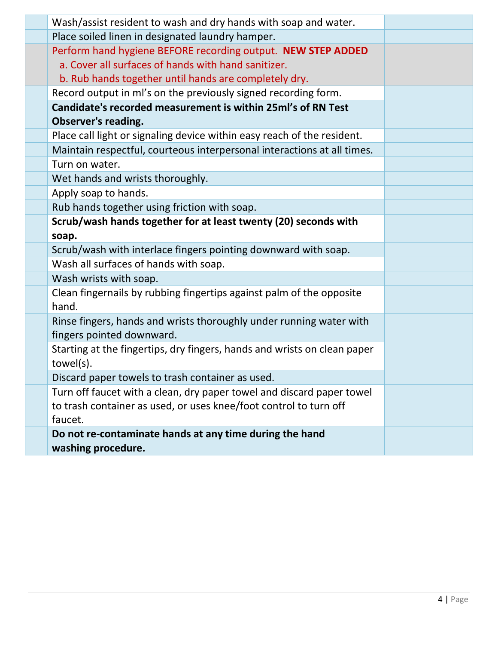| Wash/assist resident to wash and dry hands with soap and water.          |  |
|--------------------------------------------------------------------------|--|
| Place soiled linen in designated laundry hamper.                         |  |
| Perform hand hygiene BEFORE recording output. NEW STEP ADDED             |  |
| a. Cover all surfaces of hands with hand sanitizer.                      |  |
| b. Rub hands together until hands are completely dry.                    |  |
| Record output in ml's on the previously signed recording form.           |  |
| Candidate's recorded measurement is within 25ml's of RN Test             |  |
| Observer's reading.                                                      |  |
| Place call light or signaling device within easy reach of the resident.  |  |
| Maintain respectful, courteous interpersonal interactions at all times.  |  |
| Turn on water.                                                           |  |
| Wet hands and wrists thoroughly.                                         |  |
| Apply soap to hands.                                                     |  |
| Rub hands together using friction with soap.                             |  |
| Scrub/wash hands together for at least twenty (20) seconds with          |  |
| soap.                                                                    |  |
| Scrub/wash with interlace fingers pointing downward with soap.           |  |
| Wash all surfaces of hands with soap.                                    |  |
| Wash wrists with soap.                                                   |  |
| Clean fingernails by rubbing fingertips against palm of the opposite     |  |
| hand.                                                                    |  |
| Rinse fingers, hands and wrists thoroughly under running water with      |  |
| fingers pointed downward.                                                |  |
| Starting at the fingertips, dry fingers, hands and wrists on clean paper |  |
| towel(s).                                                                |  |
| Discard paper towels to trash container as used.                         |  |
| Turn off faucet with a clean, dry paper towel and discard paper towel    |  |
| to trash container as used, or uses knee/foot control to turn off        |  |
| faucet.                                                                  |  |
| Do not re-contaminate hands at any time during the hand                  |  |
| washing procedure.                                                       |  |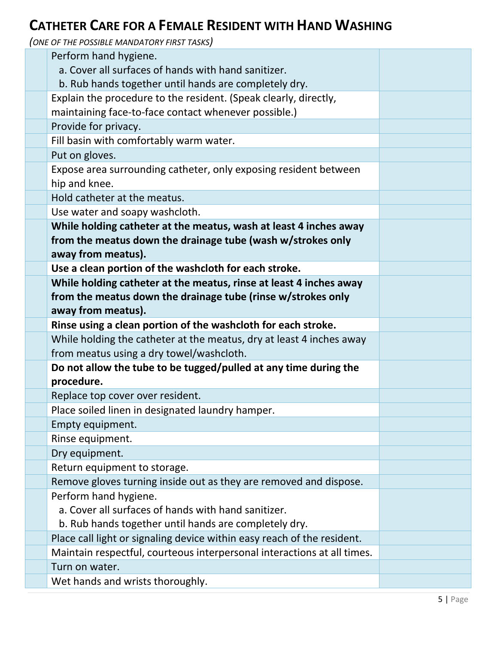#### **CATHETER CARE FOR A FEMALE RESIDENT WITH HAND WASHING**

| Perform hand hygiene.                                                   |  |
|-------------------------------------------------------------------------|--|
| a. Cover all surfaces of hands with hand sanitizer.                     |  |
| b. Rub hands together until hands are completely dry.                   |  |
| Explain the procedure to the resident. (Speak clearly, directly,        |  |
| maintaining face-to-face contact whenever possible.)                    |  |
| Provide for privacy.                                                    |  |
| Fill basin with comfortably warm water.                                 |  |
| Put on gloves.                                                          |  |
| Expose area surrounding catheter, only exposing resident between        |  |
| hip and knee.                                                           |  |
| Hold catheter at the meatus.                                            |  |
| Use water and soapy washcloth.                                          |  |
| While holding catheter at the meatus, wash at least 4 inches away       |  |
| from the meatus down the drainage tube (wash w/strokes only             |  |
| away from meatus).                                                      |  |
| Use a clean portion of the washcloth for each stroke.                   |  |
| While holding catheter at the meatus, rinse at least 4 inches away      |  |
| from the meatus down the drainage tube (rinse w/strokes only            |  |
| away from meatus).                                                      |  |
| Rinse using a clean portion of the washcloth for each stroke.           |  |
| While holding the catheter at the meatus, dry at least 4 inches away    |  |
| from meatus using a dry towel/washcloth.                                |  |
| Do not allow the tube to be tugged/pulled at any time during the        |  |
| procedure.                                                              |  |
| Replace top cover over resident.                                        |  |
| Place soiled linen in designated laundry hamper.                        |  |
| Empty equipment.                                                        |  |
| Rinse equipment.                                                        |  |
| Dry equipment.                                                          |  |
| Return equipment to storage.                                            |  |
| Remove gloves turning inside out as they are removed and dispose.       |  |
| Perform hand hygiene.                                                   |  |
| a. Cover all surfaces of hands with hand sanitizer.                     |  |
| b. Rub hands together until hands are completely dry.                   |  |
| Place call light or signaling device within easy reach of the resident. |  |
| Maintain respectful, courteous interpersonal interactions at all times. |  |
| Turn on water.                                                          |  |
| Wet hands and wrists thoroughly.                                        |  |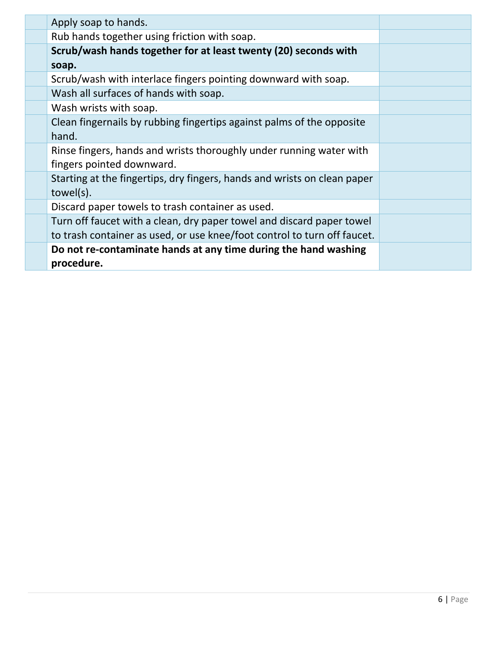| Apply soap to hands.                                                     |  |
|--------------------------------------------------------------------------|--|
| Rub hands together using friction with soap.                             |  |
| Scrub/wash hands together for at least twenty (20) seconds with          |  |
| soap.                                                                    |  |
| Scrub/wash with interlace fingers pointing downward with soap.           |  |
| Wash all surfaces of hands with soap.                                    |  |
| Wash wrists with soap.                                                   |  |
| Clean fingernails by rubbing fingertips against palms of the opposite    |  |
| hand.                                                                    |  |
| Rinse fingers, hands and wrists thoroughly under running water with      |  |
| fingers pointed downward.                                                |  |
| Starting at the fingertips, dry fingers, hands and wrists on clean paper |  |
| towel(s).                                                                |  |
| Discard paper towels to trash container as used.                         |  |
| Turn off faucet with a clean, dry paper towel and discard paper towel    |  |
| to trash container as used, or use knee/foot control to turn off faucet. |  |
| Do not re-contaminate hands at any time during the hand washing          |  |
| procedure.                                                               |  |
|                                                                          |  |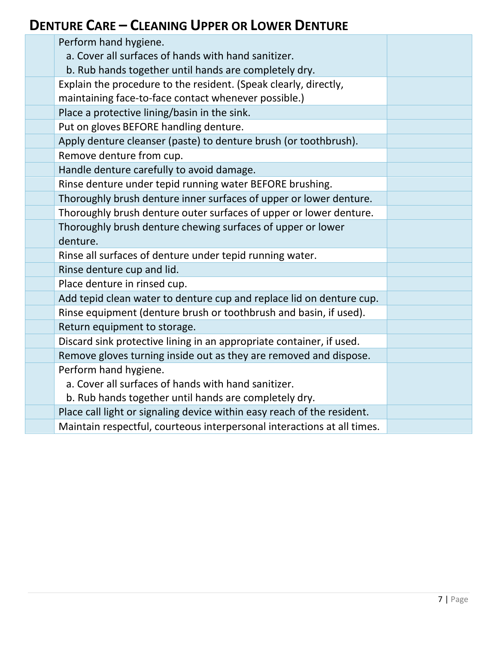#### **DENTURE CARE – CLEANING UPPER OR LOWER DENTURE**

| Perform hand hygiene.                                                   |  |
|-------------------------------------------------------------------------|--|
| a. Cover all surfaces of hands with hand sanitizer.                     |  |
| b. Rub hands together until hands are completely dry.                   |  |
| Explain the procedure to the resident. (Speak clearly, directly,        |  |
| maintaining face-to-face contact whenever possible.)                    |  |
| Place a protective lining/basin in the sink.                            |  |
| Put on gloves BEFORE handling denture.                                  |  |
| Apply denture cleanser (paste) to denture brush (or toothbrush).        |  |
| Remove denture from cup.                                                |  |
| Handle denture carefully to avoid damage.                               |  |
| Rinse denture under tepid running water BEFORE brushing.                |  |
| Thoroughly brush denture inner surfaces of upper or lower denture.      |  |
| Thoroughly brush denture outer surfaces of upper or lower denture.      |  |
| Thoroughly brush denture chewing surfaces of upper or lower             |  |
| denture.                                                                |  |
| Rinse all surfaces of denture under tepid running water.                |  |
| Rinse denture cup and lid.                                              |  |
| Place denture in rinsed cup.                                            |  |
| Add tepid clean water to denture cup and replace lid on denture cup.    |  |
| Rinse equipment (denture brush or toothbrush and basin, if used).       |  |
| Return equipment to storage.                                            |  |
| Discard sink protective lining in an appropriate container, if used.    |  |
| Remove gloves turning inside out as they are removed and dispose.       |  |
| Perform hand hygiene.                                                   |  |
| a. Cover all surfaces of hands with hand sanitizer.                     |  |
| b. Rub hands together until hands are completely dry.                   |  |
| Place call light or signaling device within easy reach of the resident. |  |
| Maintain respectful, courteous interpersonal interactions at all times. |  |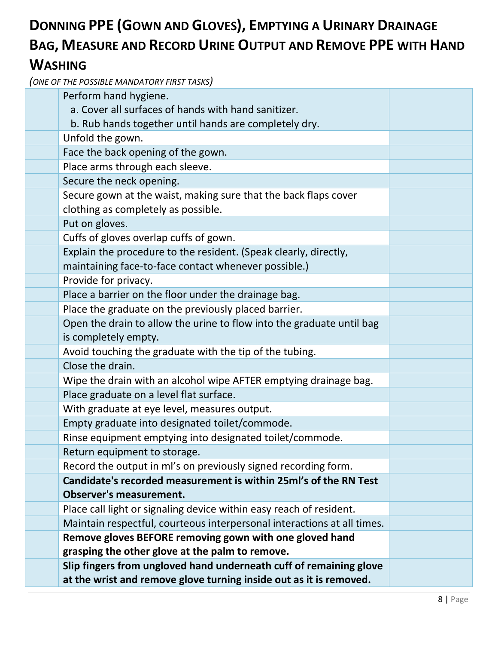#### **DONNING PPE (GOWN AND GLOVES), EMPTYING A URINARY DRAINAGE BAG, MEASURE AND RECORD URINE OUTPUT AND REMOVE PPE WITH HAND WASHING**

| Perform hand hygiene.                                                                                                    |  |
|--------------------------------------------------------------------------------------------------------------------------|--|
| a. Cover all surfaces of hands with hand sanitizer.                                                                      |  |
| b. Rub hands together until hands are completely dry.                                                                    |  |
| Unfold the gown.                                                                                                         |  |
| Face the back opening of the gown.                                                                                       |  |
| Place arms through each sleeve.                                                                                          |  |
| Secure the neck opening.                                                                                                 |  |
| Secure gown at the waist, making sure that the back flaps cover<br>clothing as completely as possible.                   |  |
| Put on gloves.                                                                                                           |  |
|                                                                                                                          |  |
| Cuffs of gloves overlap cuffs of gown.                                                                                   |  |
| Explain the procedure to the resident. (Speak clearly, directly,<br>maintaining face-to-face contact whenever possible.) |  |
| Provide for privacy.                                                                                                     |  |
| Place a barrier on the floor under the drainage bag.                                                                     |  |
| Place the graduate on the previously placed barrier.                                                                     |  |
| Open the drain to allow the urine to flow into the graduate until bag                                                    |  |
| is completely empty.                                                                                                     |  |
| Avoid touching the graduate with the tip of the tubing.                                                                  |  |
| Close the drain.                                                                                                         |  |
| Wipe the drain with an alcohol wipe AFTER emptying drainage bag.                                                         |  |
| Place graduate on a level flat surface.                                                                                  |  |
| With graduate at eye level, measures output.                                                                             |  |
| Empty graduate into designated toilet/commode.                                                                           |  |
| Rinse equipment emptying into designated toilet/commode.                                                                 |  |
| Return equipment to storage.                                                                                             |  |
| Record the output in ml's on previously signed recording form.                                                           |  |
| Candidate's recorded measurement is within 25ml's of the RN Test                                                         |  |
| <b>Observer's measurement.</b>                                                                                           |  |
| Place call light or signaling device within easy reach of resident.                                                      |  |
| Maintain respectful, courteous interpersonal interactions at all times.                                                  |  |
| Remove gloves BEFORE removing gown with one gloved hand                                                                  |  |
| grasping the other glove at the palm to remove.                                                                          |  |
| Slip fingers from ungloved hand underneath cuff of remaining glove                                                       |  |
| at the wrist and remove glove turning inside out as it is removed.                                                       |  |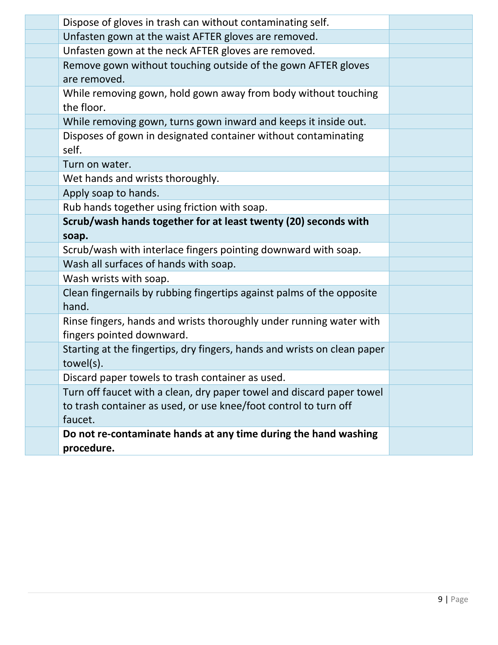| Dispose of gloves in trash can without contaminating self.               |  |
|--------------------------------------------------------------------------|--|
| Unfasten gown at the waist AFTER gloves are removed.                     |  |
| Unfasten gown at the neck AFTER gloves are removed.                      |  |
| Remove gown without touching outside of the gown AFTER gloves            |  |
| are removed.                                                             |  |
| While removing gown, hold gown away from body without touching           |  |
| the floor.                                                               |  |
| While removing gown, turns gown inward and keeps it inside out.          |  |
| Disposes of gown in designated container without contaminating           |  |
| self.                                                                    |  |
| Turn on water.                                                           |  |
| Wet hands and wrists thoroughly.                                         |  |
| Apply soap to hands.                                                     |  |
| Rub hands together using friction with soap.                             |  |
| Scrub/wash hands together for at least twenty (20) seconds with          |  |
| soap.                                                                    |  |
| Scrub/wash with interlace fingers pointing downward with soap.           |  |
| Wash all surfaces of hands with soap.                                    |  |
| Wash wrists with soap.                                                   |  |
| Clean fingernails by rubbing fingertips against palms of the opposite    |  |
| hand.                                                                    |  |
| Rinse fingers, hands and wrists thoroughly under running water with      |  |
| fingers pointed downward.                                                |  |
| Starting at the fingertips, dry fingers, hands and wrists on clean paper |  |
| towel(s).                                                                |  |
| Discard paper towels to trash container as used.                         |  |
| Turn off faucet with a clean, dry paper towel and discard paper towel    |  |
| to trash container as used, or use knee/foot control to turn off         |  |
| faucet.                                                                  |  |
| Do not re-contaminate hands at any time during the hand washing          |  |
| procedure.                                                               |  |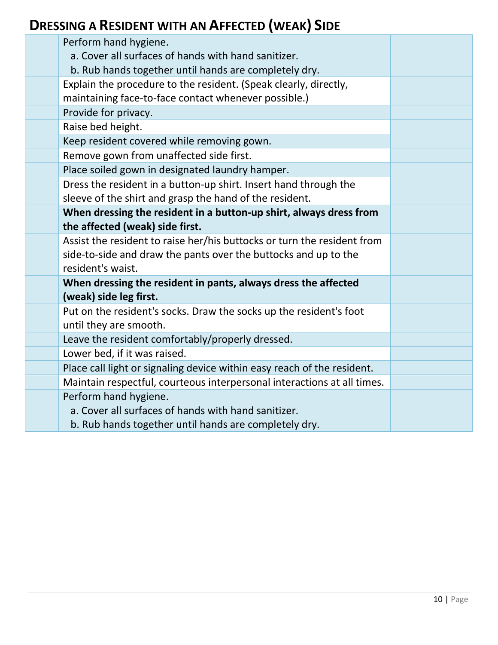#### **DRESSING A RESIDENT WITH AN AFFECTED (WEAK) SIDE**

| Perform hand hygiene.<br>a. Cover all surfaces of hands with hand sanitizer.                                             |  |
|--------------------------------------------------------------------------------------------------------------------------|--|
| b. Rub hands together until hands are completely dry.                                                                    |  |
| Explain the procedure to the resident. (Speak clearly, directly,<br>maintaining face-to-face contact whenever possible.) |  |
| Provide for privacy.                                                                                                     |  |
| Raise bed height.                                                                                                        |  |
| Keep resident covered while removing gown.                                                                               |  |
| Remove gown from unaffected side first.                                                                                  |  |
| Place soiled gown in designated laundry hamper.                                                                          |  |
| Dress the resident in a button-up shirt. Insert hand through the                                                         |  |
| sleeve of the shirt and grasp the hand of the resident.                                                                  |  |
| When dressing the resident in a button-up shirt, always dress from                                                       |  |
| the affected (weak) side first.                                                                                          |  |
| Assist the resident to raise her/his buttocks or turn the resident from                                                  |  |
| side-to-side and draw the pants over the buttocks and up to the                                                          |  |
| resident's waist.                                                                                                        |  |
| When dressing the resident in pants, always dress the affected                                                           |  |
| (weak) side leg first.                                                                                                   |  |
| Put on the resident's socks. Draw the socks up the resident's foot                                                       |  |
| until they are smooth.                                                                                                   |  |
| Leave the resident comfortably/properly dressed.                                                                         |  |
| Lower bed, if it was raised.                                                                                             |  |
| Place call light or signaling device within easy reach of the resident.                                                  |  |
| Maintain respectful, courteous interpersonal interactions at all times.                                                  |  |
| Perform hand hygiene.                                                                                                    |  |
| a. Cover all surfaces of hands with hand sanitizer.                                                                      |  |
| b. Rub hands together until hands are completely dry.                                                                    |  |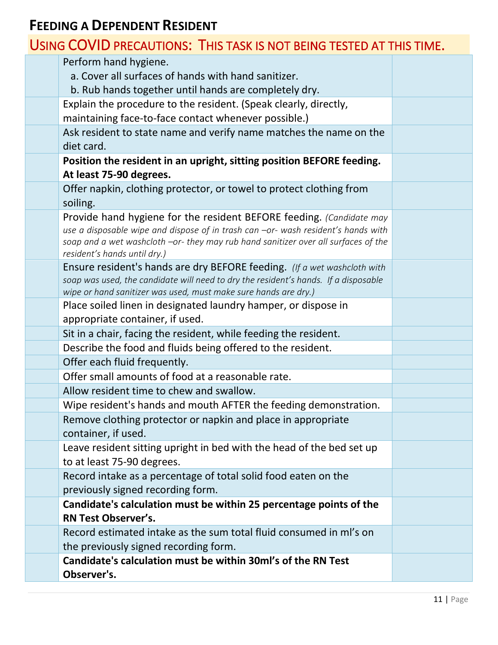#### **FEEDING A DEPENDENT RESIDENT**

#### USING COVID PRECAUTIONS: THIS TASK IS NOT BEING TESTED AT THIS TIME.

| Perform hand hygiene.                                                                                              |  |
|--------------------------------------------------------------------------------------------------------------------|--|
| a. Cover all surfaces of hands with hand sanitizer.                                                                |  |
| b. Rub hands together until hands are completely dry.                                                              |  |
| Explain the procedure to the resident. (Speak clearly, directly,                                                   |  |
| maintaining face-to-face contact whenever possible.)                                                               |  |
| Ask resident to state name and verify name matches the name on the                                                 |  |
| diet card.                                                                                                         |  |
| Position the resident in an upright, sitting position BEFORE feeding.                                              |  |
| At least 75-90 degrees.                                                                                            |  |
| Offer napkin, clothing protector, or towel to protect clothing from                                                |  |
| soiling.                                                                                                           |  |
| Provide hand hygiene for the resident BEFORE feeding. (Candidate may                                               |  |
| use a disposable wipe and dispose of in trash can -or- wash resident's hands with                                  |  |
| soap and a wet washcloth -or- they may rub hand sanitizer over all surfaces of the<br>resident's hands until dry.) |  |
| Ensure resident's hands are dry BEFORE feeding. (If a wet washcloth with                                           |  |
| soap was used, the candidate will need to dry the resident's hands. If a disposable                                |  |
| wipe or hand sanitizer was used, must make sure hands are dry.)                                                    |  |
| Place soiled linen in designated laundry hamper, or dispose in                                                     |  |
| appropriate container, if used.                                                                                    |  |
| Sit in a chair, facing the resident, while feeding the resident.                                                   |  |
| Describe the food and fluids being offered to the resident.                                                        |  |
| Offer each fluid frequently.                                                                                       |  |
| Offer small amounts of food at a reasonable rate.                                                                  |  |
| Allow resident time to chew and swallow.                                                                           |  |
| Wipe resident's hands and mouth AFTER the feeding demonstration.                                                   |  |
| Remove clothing protector or napkin and place in appropriate                                                       |  |
| container, if used.                                                                                                |  |
| Leave resident sitting upright in bed with the head of the bed set up                                              |  |
| to at least 75-90 degrees.                                                                                         |  |
| Record intake as a percentage of total solid food eaten on the                                                     |  |
| previously signed recording form.                                                                                  |  |
| Candidate's calculation must be within 25 percentage points of the                                                 |  |
| <b>RN Test Observer's.</b>                                                                                         |  |
| Record estimated intake as the sum total fluid consumed in ml's on                                                 |  |
| the previously signed recording form.                                                                              |  |
| Candidate's calculation must be within 30ml's of the RN Test                                                       |  |
| Observer's.                                                                                                        |  |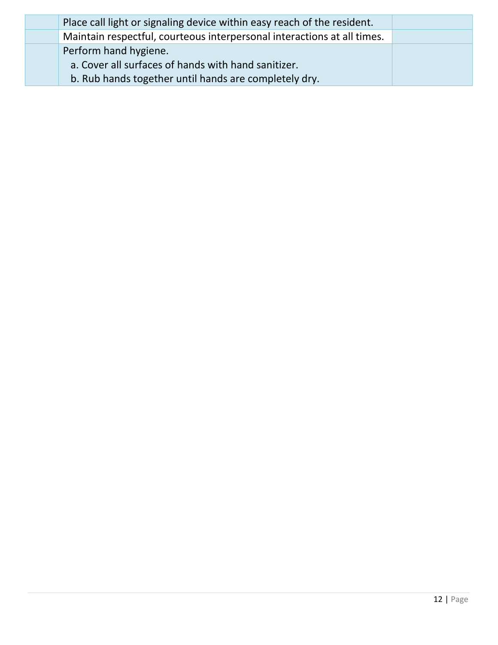| Place call light or signaling device within easy reach of the resident. |  |
|-------------------------------------------------------------------------|--|
| Maintain respectful, courteous interpersonal interactions at all times. |  |
| Perform hand hygiene.                                                   |  |
| a. Cover all surfaces of hands with hand sanitizer.                     |  |
| b. Rub hands together until hands are completely dry.                   |  |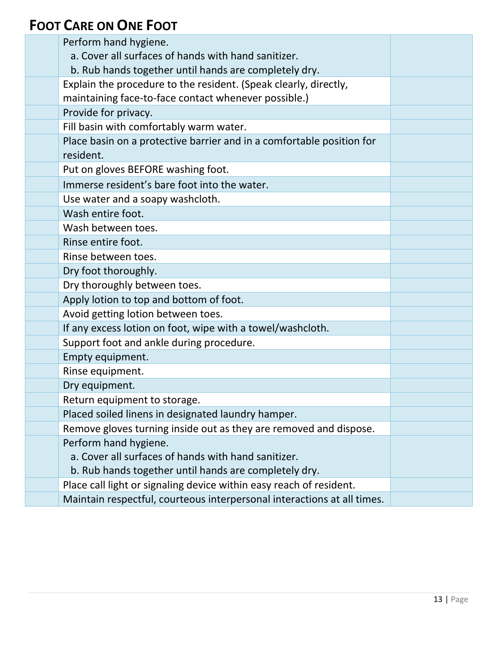#### **FOOT CARE ON ONE FOOT**

| Perform hand hygiene.                                                   |  |
|-------------------------------------------------------------------------|--|
| a. Cover all surfaces of hands with hand sanitizer.                     |  |
| b. Rub hands together until hands are completely dry.                   |  |
| Explain the procedure to the resident. (Speak clearly, directly,        |  |
| maintaining face-to-face contact whenever possible.)                    |  |
| Provide for privacy.                                                    |  |
| Fill basin with comfortably warm water.                                 |  |
| Place basin on a protective barrier and in a comfortable position for   |  |
| resident.                                                               |  |
| Put on gloves BEFORE washing foot.                                      |  |
| Immerse resident's bare foot into the water.                            |  |
| Use water and a soapy washcloth.                                        |  |
| Wash entire foot.                                                       |  |
| Wash between toes.                                                      |  |
| Rinse entire foot.                                                      |  |
| Rinse between toes.                                                     |  |
| Dry foot thoroughly.                                                    |  |
| Dry thoroughly between toes.                                            |  |
| Apply lotion to top and bottom of foot.                                 |  |
| Avoid getting lotion between toes.                                      |  |
| If any excess lotion on foot, wipe with a towel/washcloth.              |  |
| Support foot and ankle during procedure.                                |  |
| Empty equipment.                                                        |  |
| Rinse equipment.                                                        |  |
| Dry equipment.                                                          |  |
| Return equipment to storage.                                            |  |
| Placed soiled linens in designated laundry hamper.                      |  |
| Remove gloves turning inside out as they are removed and dispose.       |  |
| Perform hand hygiene.                                                   |  |
| a. Cover all surfaces of hands with hand sanitizer.                     |  |
| b. Rub hands together until hands are completely dry.                   |  |
| Place call light or signaling device within easy reach of resident.     |  |
| Maintain respectful, courteous interpersonal interactions at all times. |  |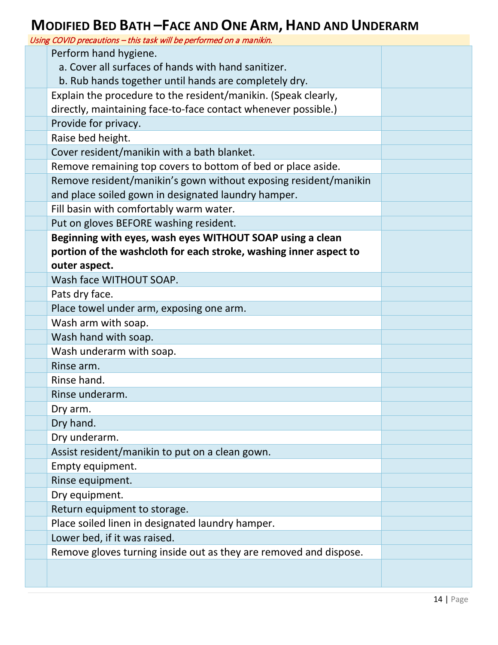### **MODIFIED BED BATH –FACE AND ONE ARM, HAND AND UNDERARM**

| Using COVID precautions - this task will be performed on a manikin. |  |
|---------------------------------------------------------------------|--|
| Perform hand hygiene.                                               |  |
| a. Cover all surfaces of hands with hand sanitizer.                 |  |
| b. Rub hands together until hands are completely dry.               |  |
| Explain the procedure to the resident/manikin. (Speak clearly,      |  |
| directly, maintaining face-to-face contact whenever possible.)      |  |
| Provide for privacy.                                                |  |
| Raise bed height.                                                   |  |
| Cover resident/manikin with a bath blanket.                         |  |
| Remove remaining top covers to bottom of bed or place aside.        |  |
| Remove resident/manikin's gown without exposing resident/manikin    |  |
| and place soiled gown in designated laundry hamper.                 |  |
| Fill basin with comfortably warm water.                             |  |
| Put on gloves BEFORE washing resident.                              |  |
| Beginning with eyes, wash eyes WITHOUT SOAP using a clean           |  |
| portion of the washcloth for each stroke, washing inner aspect to   |  |
| outer aspect.                                                       |  |
| Wash face WITHOUT SOAP.                                             |  |
| Pats dry face.                                                      |  |
| Place towel under arm, exposing one arm.                            |  |
| Wash arm with soap.                                                 |  |
| Wash hand with soap.                                                |  |
| Wash underarm with soap.                                            |  |
| Rinse arm.                                                          |  |
| Rinse hand.                                                         |  |
| Rinse underarm.                                                     |  |
| Dry arm.                                                            |  |
| Dry hand.                                                           |  |
| Dry underarm.                                                       |  |
| Assist resident/manikin to put on a clean gown.                     |  |
| Empty equipment.                                                    |  |
| Rinse equipment.                                                    |  |
| Dry equipment.                                                      |  |
| Return equipment to storage.                                        |  |
| Place soiled linen in designated laundry hamper.                    |  |
| Lower bed, if it was raised.                                        |  |
| Remove gloves turning inside out as they are removed and dispose.   |  |
|                                                                     |  |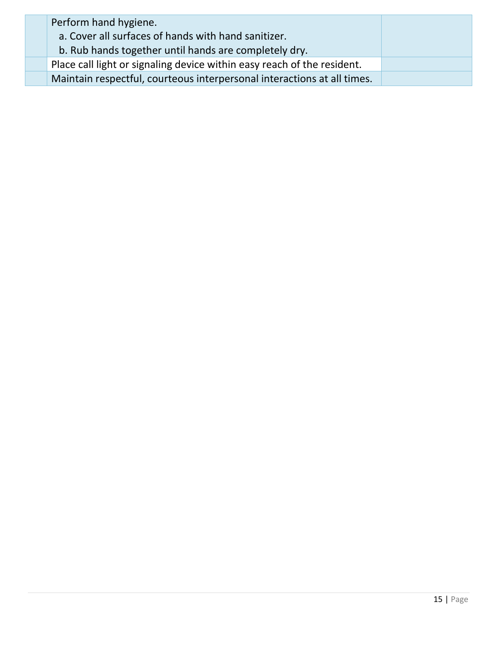| Perform hand hygiene.<br>a. Cover all surfaces of hands with hand sanitizer. |  |
|------------------------------------------------------------------------------|--|
| b. Rub hands together until hands are completely dry.                        |  |
| Place call light or signaling device within easy reach of the resident.      |  |
| Maintain respectful, courteous interpersonal interactions at all times.      |  |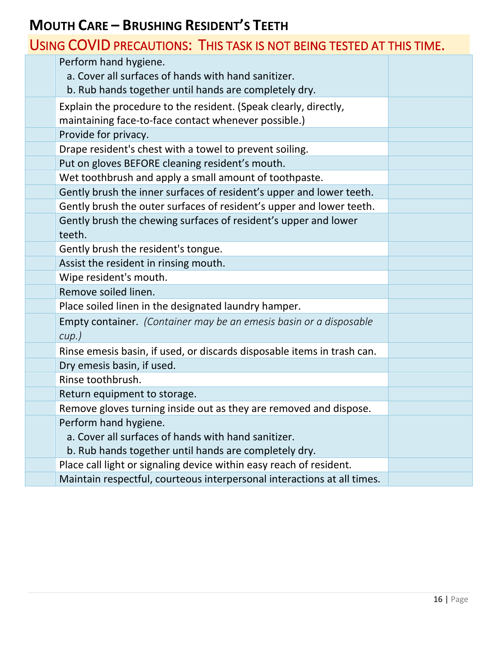#### **MOUTH CARE – BRUSHING RESIDENT'S TEETH**

|  | USING COVID PRECAUTIONS: THIS TASK IS NOT BEING TESTED AT THIS TIME. |
|--|----------------------------------------------------------------------|
|--|----------------------------------------------------------------------|

| Perform hand hygiene.<br>a. Cover all surfaces of hands with hand sanitizer.<br>b. Rub hands together until hands are completely dry. |  |
|---------------------------------------------------------------------------------------------------------------------------------------|--|
| Explain the procedure to the resident. (Speak clearly, directly,<br>maintaining face-to-face contact whenever possible.)              |  |
| Provide for privacy.                                                                                                                  |  |
| Drape resident's chest with a towel to prevent soiling.                                                                               |  |
| Put on gloves BEFORE cleaning resident's mouth.                                                                                       |  |
| Wet toothbrush and apply a small amount of toothpaste.                                                                                |  |
| Gently brush the inner surfaces of resident's upper and lower teeth.                                                                  |  |
| Gently brush the outer surfaces of resident's upper and lower teeth.                                                                  |  |
| Gently brush the chewing surfaces of resident's upper and lower<br>teeth.                                                             |  |
| Gently brush the resident's tongue.                                                                                                   |  |
| Assist the resident in rinsing mouth.                                                                                                 |  |
| Wipe resident's mouth.                                                                                                                |  |
| Remove soiled linen.                                                                                                                  |  |
| Place soiled linen in the designated laundry hamper.                                                                                  |  |
| Empty container. (Container may be an emesis basin or a disposable<br>$cup.$ )                                                        |  |
| Rinse emesis basin, if used, or discards disposable items in trash can.                                                               |  |
| Dry emesis basin, if used.                                                                                                            |  |
| Rinse toothbrush.                                                                                                                     |  |
| Return equipment to storage.                                                                                                          |  |
| Remove gloves turning inside out as they are removed and dispose.                                                                     |  |
| Perform hand hygiene.<br>a. Cover all surfaces of hands with hand sanitizer.<br>b. Rub hands together until hands are completely dry. |  |
| Place call light or signaling device within easy reach of resident.                                                                   |  |
| Maintain respectful, courteous interpersonal interactions at all times.                                                               |  |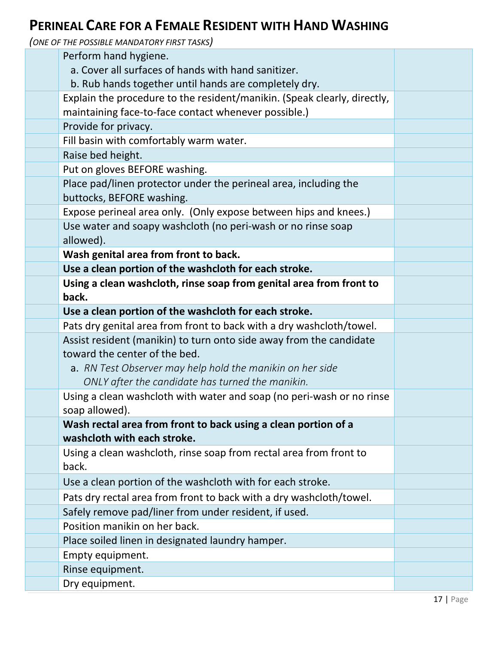#### **PERINEAL CARE FOR A FEMALE RESIDENT WITH HAND WASHING**

| Perform hand hygiene.                                                                                         |  |
|---------------------------------------------------------------------------------------------------------------|--|
| a. Cover all surfaces of hands with hand sanitizer.                                                           |  |
| b. Rub hands together until hands are completely dry.                                                         |  |
| Explain the procedure to the resident/manikin. (Speak clearly, directly,                                      |  |
| maintaining face-to-face contact whenever possible.)                                                          |  |
| Provide for privacy.                                                                                          |  |
| Fill basin with comfortably warm water.                                                                       |  |
| Raise bed height.                                                                                             |  |
| Put on gloves BEFORE washing.                                                                                 |  |
| Place pad/linen protector under the perineal area, including the                                              |  |
| buttocks, BEFORE washing.                                                                                     |  |
| Expose perineal area only. (Only expose between hips and knees.)                                              |  |
| Use water and soapy washcloth (no peri-wash or no rinse soap                                                  |  |
| allowed).                                                                                                     |  |
| Wash genital area from front to back.                                                                         |  |
| Use a clean portion of the washcloth for each stroke.                                                         |  |
| Using a clean washcloth, rinse soap from genital area from front to                                           |  |
| back.                                                                                                         |  |
| Use a clean portion of the washcloth for each stroke.                                                         |  |
| Pats dry genital area from front to back with a dry washcloth/towel.                                          |  |
| Assist resident (manikin) to turn onto side away from the candidate<br>toward the center of the bed.          |  |
|                                                                                                               |  |
| a. RN Test Observer may help hold the manikin on her side<br>ONLY after the candidate has turned the manikin. |  |
| Using a clean washcloth with water and soap (no peri-wash or no rinse                                         |  |
| soap allowed).                                                                                                |  |
| Wash rectal area from front to back using a clean portion of a                                                |  |
| washcloth with each stroke.                                                                                   |  |
| Using a clean washcloth, rinse soap from rectal area from front to                                            |  |
| back.                                                                                                         |  |
| Use a clean portion of the washcloth with for each stroke.                                                    |  |
| Pats dry rectal area from front to back with a dry washcloth/towel.                                           |  |
| Safely remove pad/liner from under resident, if used.                                                         |  |
| Position manikin on her back.                                                                                 |  |
| Place soiled linen in designated laundry hamper.                                                              |  |
| Empty equipment.                                                                                              |  |
| Rinse equipment.                                                                                              |  |
| Dry equipment.                                                                                                |  |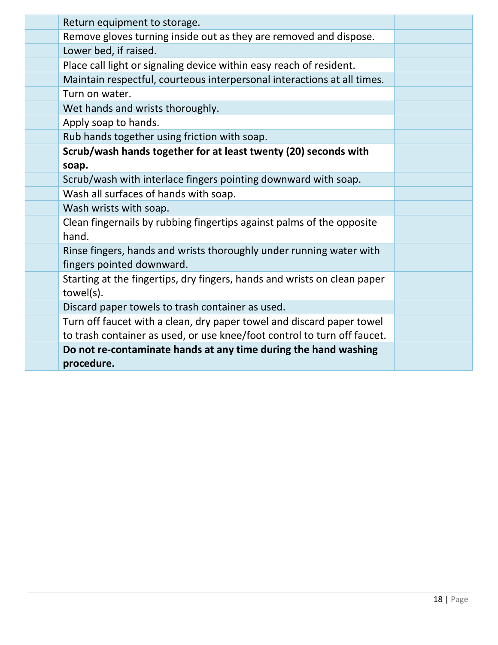| Return equipment to storage.<br>Remove gloves turning inside out as they are removed and dispose.<br>Lower bed, if raised.<br>Place call light or signaling device within easy reach of resident.<br>Maintain respectful, courteous interpersonal interactions at all times.<br>Turn on water.<br>Wet hands and wrists thoroughly.<br>Apply soap to hands.<br>Rub hands together using friction with soap.<br>Scrub/wash hands together for at least twenty (20) seconds with<br>soap.<br>Scrub/wash with interlace fingers pointing downward with soap.<br>Wash all surfaces of hands with soap.<br>Wash wrists with soap.<br>Clean fingernails by rubbing fingertips against palms of the opposite<br>hand.<br>Rinse fingers, hands and wrists thoroughly under running water with<br>fingers pointed downward.<br>Starting at the fingertips, dry fingers, hands and wrists on clean paper<br>towel(s).<br>Discard paper towels to trash container as used.<br>Turn off faucet with a clean, dry paper towel and discard paper towel<br>to trash container as used, or use knee/foot control to turn off faucet. |
|---------------------------------------------------------------------------------------------------------------------------------------------------------------------------------------------------------------------------------------------------------------------------------------------------------------------------------------------------------------------------------------------------------------------------------------------------------------------------------------------------------------------------------------------------------------------------------------------------------------------------------------------------------------------------------------------------------------------------------------------------------------------------------------------------------------------------------------------------------------------------------------------------------------------------------------------------------------------------------------------------------------------------------------------------------------------------------------------------------------------|
|                                                                                                                                                                                                                                                                                                                                                                                                                                                                                                                                                                                                                                                                                                                                                                                                                                                                                                                                                                                                                                                                                                                     |
|                                                                                                                                                                                                                                                                                                                                                                                                                                                                                                                                                                                                                                                                                                                                                                                                                                                                                                                                                                                                                                                                                                                     |
|                                                                                                                                                                                                                                                                                                                                                                                                                                                                                                                                                                                                                                                                                                                                                                                                                                                                                                                                                                                                                                                                                                                     |
|                                                                                                                                                                                                                                                                                                                                                                                                                                                                                                                                                                                                                                                                                                                                                                                                                                                                                                                                                                                                                                                                                                                     |
|                                                                                                                                                                                                                                                                                                                                                                                                                                                                                                                                                                                                                                                                                                                                                                                                                                                                                                                                                                                                                                                                                                                     |
|                                                                                                                                                                                                                                                                                                                                                                                                                                                                                                                                                                                                                                                                                                                                                                                                                                                                                                                                                                                                                                                                                                                     |
|                                                                                                                                                                                                                                                                                                                                                                                                                                                                                                                                                                                                                                                                                                                                                                                                                                                                                                                                                                                                                                                                                                                     |
|                                                                                                                                                                                                                                                                                                                                                                                                                                                                                                                                                                                                                                                                                                                                                                                                                                                                                                                                                                                                                                                                                                                     |
|                                                                                                                                                                                                                                                                                                                                                                                                                                                                                                                                                                                                                                                                                                                                                                                                                                                                                                                                                                                                                                                                                                                     |
|                                                                                                                                                                                                                                                                                                                                                                                                                                                                                                                                                                                                                                                                                                                                                                                                                                                                                                                                                                                                                                                                                                                     |
|                                                                                                                                                                                                                                                                                                                                                                                                                                                                                                                                                                                                                                                                                                                                                                                                                                                                                                                                                                                                                                                                                                                     |
|                                                                                                                                                                                                                                                                                                                                                                                                                                                                                                                                                                                                                                                                                                                                                                                                                                                                                                                                                                                                                                                                                                                     |
|                                                                                                                                                                                                                                                                                                                                                                                                                                                                                                                                                                                                                                                                                                                                                                                                                                                                                                                                                                                                                                                                                                                     |
|                                                                                                                                                                                                                                                                                                                                                                                                                                                                                                                                                                                                                                                                                                                                                                                                                                                                                                                                                                                                                                                                                                                     |
|                                                                                                                                                                                                                                                                                                                                                                                                                                                                                                                                                                                                                                                                                                                                                                                                                                                                                                                                                                                                                                                                                                                     |
|                                                                                                                                                                                                                                                                                                                                                                                                                                                                                                                                                                                                                                                                                                                                                                                                                                                                                                                                                                                                                                                                                                                     |
|                                                                                                                                                                                                                                                                                                                                                                                                                                                                                                                                                                                                                                                                                                                                                                                                                                                                                                                                                                                                                                                                                                                     |
|                                                                                                                                                                                                                                                                                                                                                                                                                                                                                                                                                                                                                                                                                                                                                                                                                                                                                                                                                                                                                                                                                                                     |
|                                                                                                                                                                                                                                                                                                                                                                                                                                                                                                                                                                                                                                                                                                                                                                                                                                                                                                                                                                                                                                                                                                                     |
|                                                                                                                                                                                                                                                                                                                                                                                                                                                                                                                                                                                                                                                                                                                                                                                                                                                                                                                                                                                                                                                                                                                     |
| Do not re-contaminate hands at any time during the hand washing<br>procedure.                                                                                                                                                                                                                                                                                                                                                                                                                                                                                                                                                                                                                                                                                                                                                                                                                                                                                                                                                                                                                                       |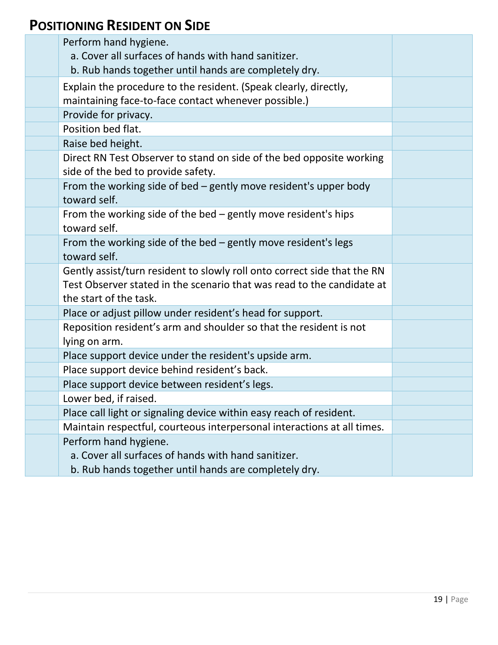#### **POSITIONING RESIDENT ON SIDE**

| Perform hand hygiene.<br>a. Cover all surfaces of hands with hand sanitizer.<br>b. Rub hands together until hands are completely dry.                                        |  |
|------------------------------------------------------------------------------------------------------------------------------------------------------------------------------|--|
| Explain the procedure to the resident. (Speak clearly, directly,<br>maintaining face-to-face contact whenever possible.)                                                     |  |
| Provide for privacy.                                                                                                                                                         |  |
| Position bed flat.                                                                                                                                                           |  |
| Raise bed height.                                                                                                                                                            |  |
| Direct RN Test Observer to stand on side of the bed opposite working<br>side of the bed to provide safety.                                                                   |  |
| From the working side of bed - gently move resident's upper body<br>toward self.                                                                                             |  |
| From the working side of the bed - gently move resident's hips<br>toward self.                                                                                               |  |
| From the working side of the bed $-$ gently move resident's legs<br>toward self.                                                                                             |  |
| Gently assist/turn resident to slowly roll onto correct side that the RN<br>Test Observer stated in the scenario that was read to the candidate at<br>the start of the task. |  |
| Place or adjust pillow under resident's head for support.                                                                                                                    |  |
| Reposition resident's arm and shoulder so that the resident is not<br>lying on arm.                                                                                          |  |
| Place support device under the resident's upside arm.                                                                                                                        |  |
| Place support device behind resident's back.                                                                                                                                 |  |
| Place support device between resident's legs.                                                                                                                                |  |
| Lower bed, if raised.                                                                                                                                                        |  |
| Place call light or signaling device within easy reach of resident.                                                                                                          |  |
| Maintain respectful, courteous interpersonal interactions at all times.                                                                                                      |  |
| Perform hand hygiene.                                                                                                                                                        |  |
| a. Cover all surfaces of hands with hand sanitizer.                                                                                                                          |  |
| b. Rub hands together until hands are completely dry.                                                                                                                        |  |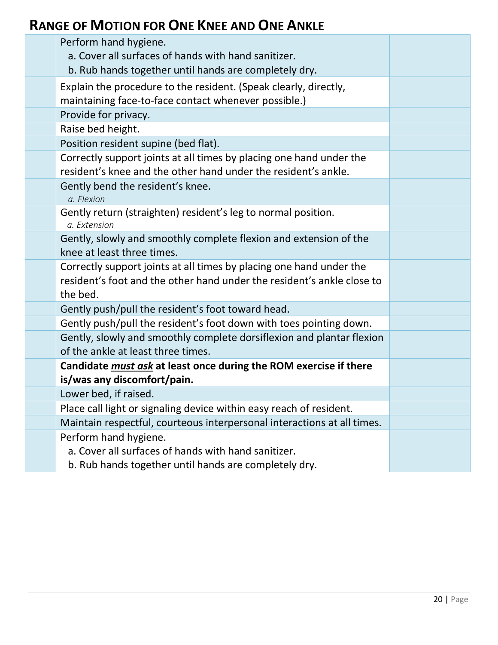#### **RANGE OF MOTION FOR ONE KNEE AND ONE ANKLE**

| Perform hand hygiene.<br>a. Cover all surfaces of hands with hand sanitizer.<br>b. Rub hands together until hands are completely dry.                     |  |
|-----------------------------------------------------------------------------------------------------------------------------------------------------------|--|
| Explain the procedure to the resident. (Speak clearly, directly,<br>maintaining face-to-face contact whenever possible.)                                  |  |
| Provide for privacy.                                                                                                                                      |  |
| Raise bed height.                                                                                                                                         |  |
| Position resident supine (bed flat).                                                                                                                      |  |
| Correctly support joints at all times by placing one hand under the<br>resident's knee and the other hand under the resident's ankle.                     |  |
| Gently bend the resident's knee.<br>a. Flexion                                                                                                            |  |
| Gently return (straighten) resident's leg to normal position.<br>a. Extension                                                                             |  |
| Gently, slowly and smoothly complete flexion and extension of the<br>knee at least three times.                                                           |  |
| Correctly support joints at all times by placing one hand under the<br>resident's foot and the other hand under the resident's ankle close to<br>the bed. |  |
| Gently push/pull the resident's foot toward head.                                                                                                         |  |
| Gently push/pull the resident's foot down with toes pointing down.                                                                                        |  |
| Gently, slowly and smoothly complete dorsiflexion and plantar flexion<br>of the ankle at least three times.                                               |  |
| Candidate must ask at least once during the ROM exercise if there<br>is/was any discomfort/pain.                                                          |  |
| Lower bed, if raised.                                                                                                                                     |  |
| Place call light or signaling device within easy reach of resident.                                                                                       |  |
| Maintain respectful, courteous interpersonal interactions at all times.                                                                                   |  |
| Perform hand hygiene.                                                                                                                                     |  |
| a. Cover all surfaces of hands with hand sanitizer.                                                                                                       |  |
| b. Rub hands together until hands are completely dry.                                                                                                     |  |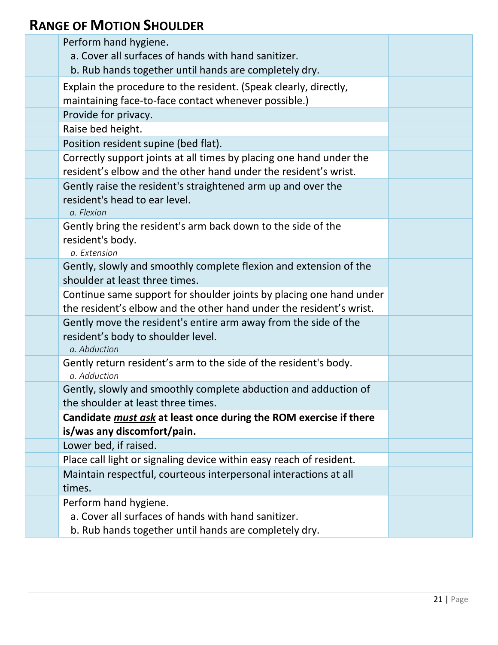#### **RANGE OF MOTION SHOULDER**

| Perform hand hygiene.<br>a. Cover all surfaces of hands with hand sanitizer.                                                               |  |
|--------------------------------------------------------------------------------------------------------------------------------------------|--|
| b. Rub hands together until hands are completely dry.                                                                                      |  |
| Explain the procedure to the resident. (Speak clearly, directly,<br>maintaining face-to-face contact whenever possible.)                   |  |
| Provide for privacy.                                                                                                                       |  |
| Raise bed height.                                                                                                                          |  |
| Position resident supine (bed flat).                                                                                                       |  |
| Correctly support joints at all times by placing one hand under the<br>resident's elbow and the other hand under the resident's wrist.     |  |
| Gently raise the resident's straightened arm up and over the<br>resident's head to ear level.<br>a. Flexion                                |  |
| Gently bring the resident's arm back down to the side of the<br>resident's body.<br>a. Extension                                           |  |
| Gently, slowly and smoothly complete flexion and extension of the<br>shoulder at least three times.                                        |  |
| Continue same support for shoulder joints by placing one hand under<br>the resident's elbow and the other hand under the resident's wrist. |  |
| Gently move the resident's entire arm away from the side of the<br>resident's body to shoulder level.<br>a. Abduction                      |  |
| Gently return resident's arm to the side of the resident's body.<br>a. Adduction                                                           |  |
| Gently, slowly and smoothly complete abduction and adduction of<br>the shoulder at least three times.                                      |  |
| Candidate <i>must ask</i> at least once during the ROM exercise if there<br>is/was any discomfort/pain.                                    |  |
| Lower bed, if raised.                                                                                                                      |  |
| Place call light or signaling device within easy reach of resident.                                                                        |  |
| Maintain respectful, courteous interpersonal interactions at all<br>times.                                                                 |  |
| Perform hand hygiene.<br>a. Cover all surfaces of hands with hand sanitizer.<br>b. Rub hands together until hands are completely dry.      |  |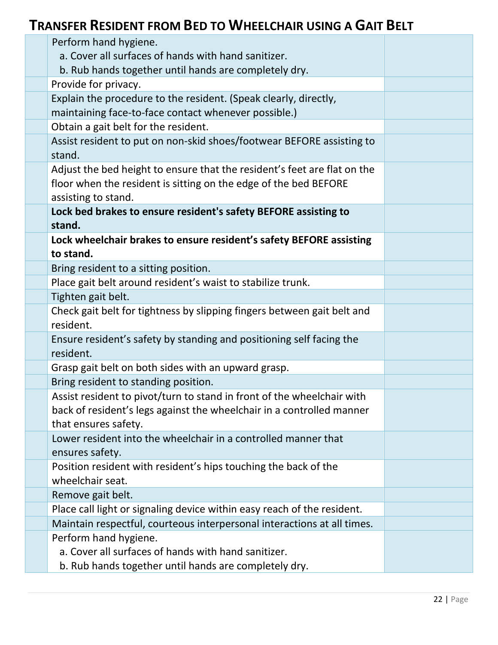#### **TRANSFER RESIDENT FROM BED TO WHEELCHAIR USING A GAIT BELT**

| Perform hand hygiene.                                                                |  |
|--------------------------------------------------------------------------------------|--|
| a. Cover all surfaces of hands with hand sanitizer.                                  |  |
| b. Rub hands together until hands are completely dry.                                |  |
| Provide for privacy.                                                                 |  |
| Explain the procedure to the resident. (Speak clearly, directly,                     |  |
| maintaining face-to-face contact whenever possible.)                                 |  |
| Obtain a gait belt for the resident.                                                 |  |
| Assist resident to put on non-skid shoes/footwear BEFORE assisting to<br>stand.      |  |
| Adjust the bed height to ensure that the resident's feet are flat on the             |  |
| floor when the resident is sitting on the edge of the bed BEFORE                     |  |
| assisting to stand.                                                                  |  |
| Lock bed brakes to ensure resident's safety BEFORE assisting to                      |  |
| stand.                                                                               |  |
| Lock wheelchair brakes to ensure resident's safety BEFORE assisting                  |  |
| to stand.                                                                            |  |
| Bring resident to a sitting position.                                                |  |
| Place gait belt around resident's waist to stabilize trunk.                          |  |
| Tighten gait belt.                                                                   |  |
| Check gait belt for tightness by slipping fingers between gait belt and<br>resident. |  |
| Ensure resident's safety by standing and positioning self facing the<br>resident.    |  |
| Grasp gait belt on both sides with an upward grasp.                                  |  |
| Bring resident to standing position.                                                 |  |
| Assist resident to pivot/turn to stand in front of the wheelchair with               |  |
| back of resident's legs against the wheelchair in a controlled manner                |  |
| that ensures safety.                                                                 |  |
| Lower resident into the wheelchair in a controlled manner that                       |  |
| ensures safety.                                                                      |  |
| Position resident with resident's hips touching the back of the<br>wheelchair seat.  |  |
| Remove gait belt.                                                                    |  |
| Place call light or signaling device within easy reach of the resident.              |  |
| Maintain respectful, courteous interpersonal interactions at all times.              |  |
| Perform hand hygiene.                                                                |  |
| a. Cover all surfaces of hands with hand sanitizer.                                  |  |
| b. Rub hands together until hands are completely dry.                                |  |